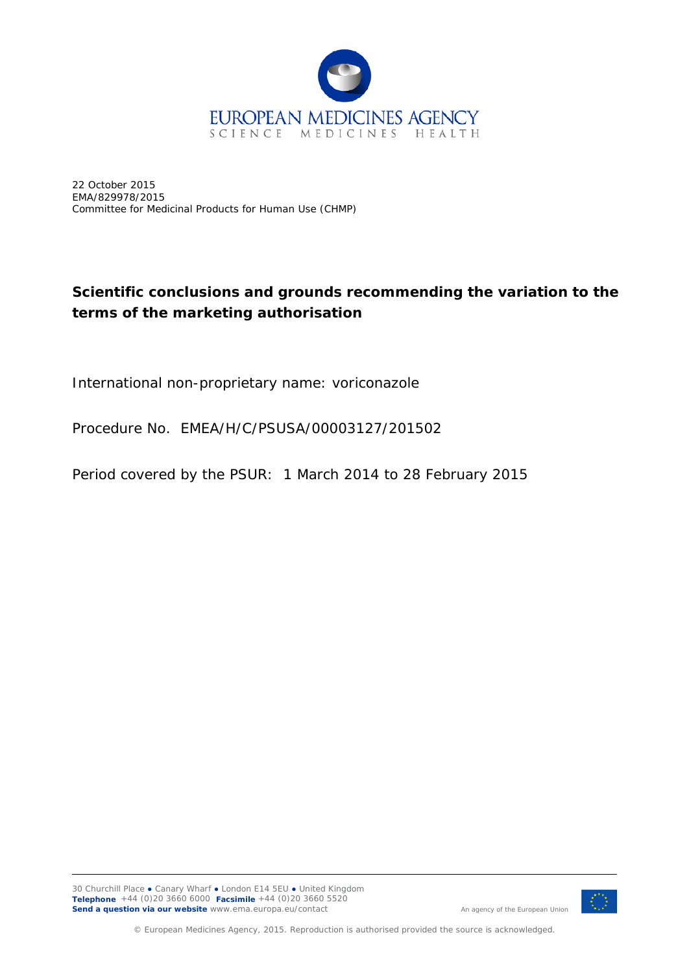

22 October 2015 EMA/829978/2015 Committee for Medicinal Products for Human Use (CHMP)

## **Scientific conclusions and grounds recommending the variation to the terms of the marketing authorisation**

International non-proprietary name: voriconazole

Procedure No. EMEA/H/C/PSUSA/00003127/201502

Period covered by the PSUR: 1 March 2014 to 28 February 2015



An agency of the European Union